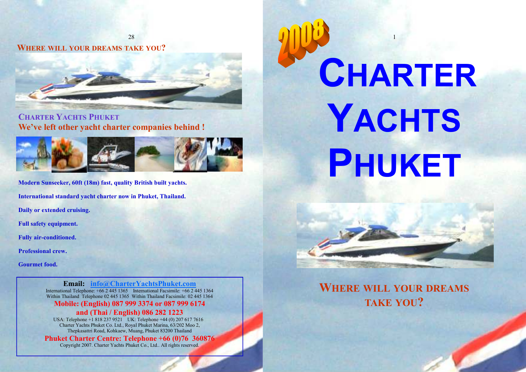WHERE WILL YOUR DREAMS TAKE YOU?



CHARTER YACHTS PHUKETWe've left other yacht charter companies behind !



Modern Sunseeker, 60ft (18m) fast, quality British built yachts.

International standard yacht charter now in Phuket, Thailand.

Daily or extended cruising.

Full safety equipment.

Fully air-conditioned.

Professional crew.

Gourmet food.

Email: info@CharterYachtsPhuket.com International Telephone: +66 2 445 1365 International Facsimile: +66 2 445 1364 Within Thailand Telephone 02 445 1365 Within Thailand Facsimile: 02 445 1364

Mobile: (English) 087 999 3374 or 087 999 6174 and (Thai / English) 086 282 1223

 USA: Telephone +1 818 237 9521 UK: Telephone +44 (0) 207 617 7616 Charter Yachts Phuket Co. Ltd., Royal Phuket Marina, 63/202 Moo 2, Thepkasattri Road, Kohkaew, Muang, Phuket 83200 Thailand

Phuket Charter Centre: Telephone +66 (0)76 360876

Copyright 2007. Charter Yachts Phuket Co., Ltd.. All rights reserved.

# 1 CHARTERYACHTSPHUKET



WHERE WILL YOUR DREAMS TAKE YOU?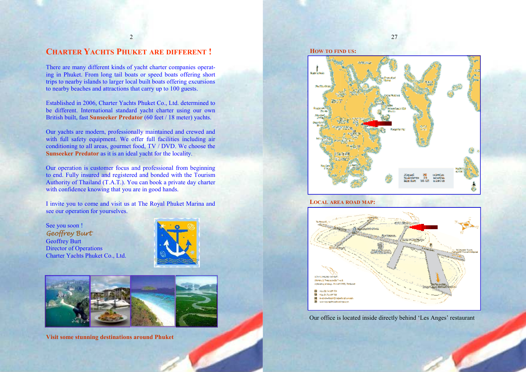# CHARTER YACHTS PHUKET ARE DIFFERENT !

There are many different kinds of yacht charter companies operating in Phuket. From long tail boats or speed boats offering short trips to nearby islands to larger local built boats offering excursions to nearby beaches and attractions that carry up to 100 guests.

Established in 2006, Charter Yachts Phuket Co., Ltd. determined to be different. International standard yacht charter using our own British built, fast **Sunseeker Predator** (60 feet / 18 meter) yachts.

Our yachts are modern, professionally maintained and crewed and with full safety equipment. We offer full facilities including air conditioning to all areas, gourmet food, TV / DVD. We choose the Sunseeker Predator as it is an ideal yacht for the locality.

Our operation is customer focus and professional from beginning to end. Fully insured and registered and bonded with the Tourism Authority of Thailand (T.A.T.). You can book a private day charter with confidence knowing that you are in good hands.

I invite you to come and visit us at The Royal Phuket Marina and see our operation for yourselves.

See you soon ! Geoffrey Burt Geoffrey Burt Director of Operations Charter Yachts Phuket Co., Ltd.





Visit some stunning destinations around Phuket





# LOCAL AREA ROAD MAP:



Our office is located inside directly behind 'Les Anges' restaurant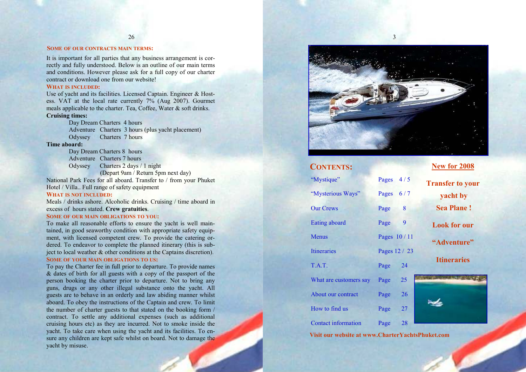# SOME OF OUR CONTRACTS MAIN TERMS:

It is important for all parties that any business arrangement is correctly and fully understood. Below is an outline of our main terms and conditions. However please ask for a full copy of our charter contract or download one from our website!

# WHAT IS INCLUDED:

Use of yacht and its facilities. Licensed Captain. Engineer & Hostess. VAT at the local rate currently 7% (Aug 2007). Gourmet meals applicable to the charter. Tea, Coffee, Water & soft drinks. Cruising times:

Day Dream Charters 4 hours Adventure Charters 3 hours (plus yacht placement) Odyssey Charters 7 hours

#### Time aboard:

Day Dream Charters 8 hours Adventure Charters 7 hours Odyssey Charters 2 days / 1 night

(Depart 9am / Return 5pm next day)

National Park Fees for all aboard. Transfer to / from your Phuket Hotel / Villa.. Full range of safety equipment

# WHAT IS NOT INCLUDED:

Meals / drinks ashore. Alcoholic drinks. Cruising / time aboard in excess of hours stated. Crew gratuities.

# SOME OF OUR MAIN OBLIGATIONS TO YOU:

To make all reasonable efforts to ensure the yacht is well maintained, in good seaworthy condition with appropriate safety equipment, with licensed competent crew. To provide the catering ordered. To endeavor to complete the planned itinerary (this is subject to local weather & other conditions at the Captains discretion). SOME OF YOUR MAIN OBLIGATIONS TO US:<br>...

To pay the Charter fee in full prior to departure. To provide names & dates of birth for all guests with a copy of the passport of the person booking the charter prior to departure. Not to bring any guns, drugs or any other illegal substance onto the yacht. All guests are to behave in an orderly and law abiding manner whilst aboard. To obey the instructions of the Captain and crew. To limit the number of charter guests to that stated on the booking form / contract. To settle any additional expenses (such as additional cruising hours etc) as they are incurred. Not to smoke inside the yacht. To take care when using the yacht and its facilities. To ensure any children are kept safe whilst on board. Not to damage the yacht by misuse.



3

# CONTENTS:

"Mystique" Pages 4 / 5 "Mysterious Ways" Pages 6 / 7 Our Crews Page 8 Eating aboard Page 9 Menus Pages  $10/11$ Itineraries Pages 12 / 23 T.A.T. Page 24 What are customers say Page 25 About our contract Page 26 How to find us Page 27 Contact information Page 28

New for 2008

Transfer to your yacht by Sea Plane ! Look for our

"Adventure"

**Itineraries** 



Visit our website at www.CharterYachtsPhuket.com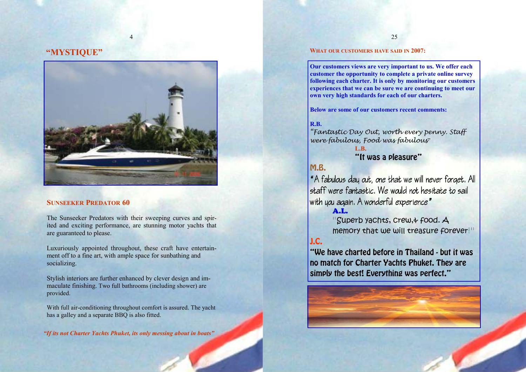# "MYSTIQUE"



4

# SUNSEEKER PREDATOR 60

The Sunseeker Predators with their sweeping curves and spirited and exciting performance, are stunning motor yachts that are guaranteed to please.

Luxuriously appointed throughout, these craft have entertainment off to a fine art, with ample space for sunbathing and socializing.

Stylish interiors are further enhanced by clever design and immaculate finishing. Two full bathrooms (including shower) are provided.

With full air-conditioning throughout comfort is assured. The yacht has a galley and a separate BBQ is also fitted.

"If its not Charter Yachts Phuket, its only messing about in boats"

# WHAT OUR CUSTOMERS HAVE SAID IN 2007:

Our customers views are very important to us. We offer each customer the opportunity to complete a private online survey following each charter. It is only by monitoring our customers experiences that we can be sure we are continuing to meet our own very high standards for each of our charters.

Below are some of our customers recent comments:

# R.B.

 "Fantastic Day Out, worth every penny. Staff were fabulous, Food was fabulous"

 L.B. "It was a pleasure"

# M.B.

 ˆA fabulous day out, one that we will never forget. All staff were fantastic. We would not hesitate to sailwith you again. A wonderful experience"

A.L.

"Superb yachts, crew, a food. A memory that we will treasure forever!"

# J.C.

 "We have charted before in Thailand - but it was no match for Charter Yachts Phuket. They are simply the best! Everything was perfect."

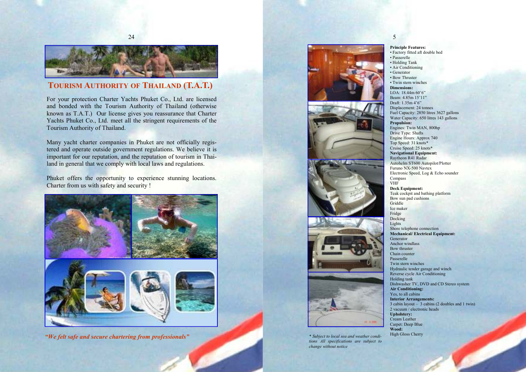

# TOURISM AUTHORITY OF THAILAND (T.A.T.)

For your protection Charter Yachts Phuket Co., Ltd. are licensed and bonded with the Tourism Authority of Thailand (otherwise known as T.A.T.) Our license gives you reassurance that Charter Yachts Phuket Co., Ltd. meet all the stringent requirements of the Tourism Authority of Thailand.

Many yacht charter companies in Phuket are not officially registered and operate outside government regulations. We believe it is important for our reputation, and the reputation of tourism in Thailand in general that we comply with local laws and regulations.

Phuket offers the opportunity to experience stunning locations. Charter from us with safety and security !



"We felt safe and secure chartering from professionals"









 \* Subject to local sea and weather conditions All specifications are subject to change without notice

# 5

• Passerelle • Holding Tank • Air Conditioning • Generator

Principle Features: • Factory fitted aft double bed

 • Bow Thruster • Twin stern winches Dimensions: LOA: 18.44m 60'6" Beam: 4.85m 15'11" Draft: 1.35m 4'6" Displacement: 24 tonnes Fuel Capacity: 2850 litres 3627 gallons Water Capacity: 650 litres 143 gallons Propulsion: Engines: Twin MAN, 800hp Drive Type: Shafts Engine Hours: Approx 740 Top Speed: 31 knots\* Cruise Speed: 25 knots\* Navigational Equipment: Raytheon R41 Radar Autohelm ST600 Autopilot/Plotter Furuno NX-500 Navtex Electronic Speed, Log & Echo sounder Compass VHF Deck Equipment: Teak cockpit and bathing platform Bow sun pad cushions Griddle Ice maker Fridge Docking Lights Shore telephone connection Mechanical/ Electrical Equipment: Generator Anchor windlass Bow thruster Chain counter Passerelle Twin stern winches Hydraulic tender garage and winch Reverse cycle Air Conditioning Holding tank Dishwasher TV, DVD and CD Stereo system Air Conditioning: Yes, to all cabins Interior Arrangements: 3 cabin layout – 3 cabins (2 doubles and 1 twin) 2 vacuum / electronic heads Upholstery: Cream Leather Carpet: Deep Blue Wood: High Gloss Cherry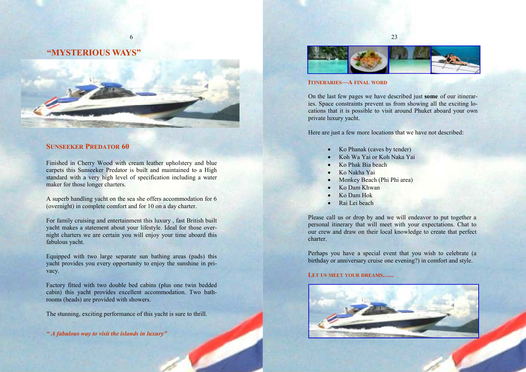# "MYSTERIOUS WAYS"



6

# SUNSEEKER PREDATOR 60

Finished in Cherry Wood with cream leather upholstery and blue carpets this Sunseeker Predator is built and maintained to a High standard with a very high level of specification including a water maker for those longer charters.

A superb handling yacht on the sea she offers accommodation for 6 (overnight) in complete comfort and for 10 on a day charter.

For family cruising and entertainment this luxury , fast British built yacht makes a statement about your lifestyle. Ideal for those overnight charters we are certain you will enjoy your time aboard this fabulous yacht.

Equipped with two large separate sun bathing areas (pads) this yacht provides you every opportunity to enjoy the sunshine in privacy.

Factory fitted with two double bed cabins (plus one twin bedded cabin) this yacht provides excellent accommodation. Two bathrooms (heads) are provided with showers.

The stunning, exciting performance of this yacht is sure to thrill.

" A fabulous way to visit the islands in luxury"



# ITINERARIES—A FINAL WORD

On the last few pages we have described just some of our itineraries. Space constraints prevent us from showing all the exciting locations that it is possible to visit around Phuket aboard your own private luxury yacht.

Here are just a few more locations that we have not described:

- Ko Phanak (caves by tender)
- Koh Wa Yai or Koh Naka Yai
- Ko Phak Bia beach
- Ko Nakha Yai
- Monkey Beach (Phi Phi area)
- Ko Dam Khwan
- Ko Dam Hok
- Rai Lei beach

Please call us or drop by and we will endeavor to put together a personal itinerary that will meet with your expectations. Chat to our crew and draw on their local knowledge to create that perfect charter.

Perhaps you have a special event that you wish to celebrate (a birthday or anniversary cruise one evening?) in comfort and style.

# LET US MEET YOUR DREAMS......

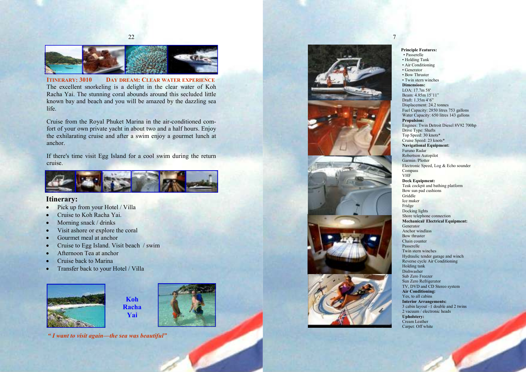

**ITINERARY: 3010** DAY DREAM: CLEAR WATER EXPERIENCE The excellent snorkeling is a delight in the clear water of Koh Racha Yai. The stunning coral abounds around this secluded little known bay and beach and you will be amazed by the dazzling sea life.

Cruise from the Royal Phuket Marina in the air-conditioned comfort of your own private yacht in about two and a half hours. Enjoy the exhilarating cruise and after a swim enjoy a gourmet lunch at anchor.

If there's time visit Egg Island for a cool swim during the return cruise.



# Itinerary:

- Pick up from your Hotel / Villa
- Cruise to Koh Racha Yai.
- Morning snack / drinks
- Visit ashore or explore the coral
- Gourmet meal at anchor
- Cruise to Egg Island. Visit beach / swim
- Afternoon Tea at anchor
- Cruise back to Marina
- Transfer back to your Hotel / Villa









#### Principle Features: • Passerelle • Holding Tank • Air Conditioning • Generator • Bow Thruster • Twin stern winches Dimensions: LOA: 17.7m 58' Beam: 4.85m 15'11" Draft: 1.35m 4'6" Displacement: 24.2 tonnes Fuel Capacity: 2850 litres 753 gallons Water Capacity: 650 litres 143 gallons Propulsion: Engines: Twin Detroit Diesel 8V92 700hp Drive Type: Shafts Top Speed: 30 knots\* Cruise Speed: 23 knots\* Navigational Equipment: Furuno Radar Robertson Autopilot Garmin /Plotter Electronic Speed, Log & Echo sounder Compass VHF Deck Equipment: Teak cockpit and bathing platform Bow sun pad cushions Griddle Ice maker Fridge Docking lights Shore telephone connection Mechanical/ Electrical Equipment: Generator Anchor windlass Bow thruster Chain counter Passerelle Twin stern winches Hydraulic tender garage and winch Reverse cycle Air Conditioning Holding tank Dishwasher Sub Zero Freezer Sun Zero Refrigerator TV, DVD and CD Stereo system Air Conditioning: Yes, to all cabins Interior Arrangements: 3 cabin layout –1 double and 2 twins 2 vacuum / electronic heads Upholstery: Cream Leather Carpet: Off white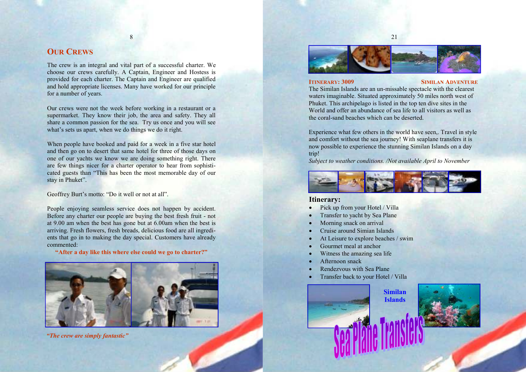# **OUR CREWS**

The crew is an integral and vital part of a successful charter. We choose our crews carefully. A Captain, Engineer and Hostess is provided for each charter. The Captain and Engineer are qualified and hold appropriate licenses. Many have worked for our principle for a number of years.

Our crews were not the week before working in a restaurant or a supermarket. They know their job, the area and safety. They all share a common passion for the sea. Try us once and you will see what's sets us apart, when we do things we do it right.

When people have booked and paid for a week in a five star hotel and then go on to desert that same hotel for three of those days on one of our yachts we know we are doing something right. There are few things nicer for a charter operator to hear from sophisticated guests than "This has been the most memorable day of our stay in Phuket".

Geoffrey Burt's motto: "Do it well or not at all".

People enjoying seamless service does not happen by accident. Before any charter our people are buying the best fresh fruit - not at 9.00 am when the best has gone but at 6.00am when the best is arriving. Fresh flowers, fresh breads, delicious food are all ingredients that go in to making the day special. Customers have already commented:

"After a day like this where else could we go to charter?"



"The crew are simply fantastic"



21

#### **ITINERARY: 3009 SIMILAN ADVENTURE**

 The Similan Islands are an un-missable spectacle with the clearest waters imaginable. Situated approximately 50 miles north west of Phuket. This archipelago is listed in the top ten dive sites in the World and offer an abundance of sea life to all visitors as well as the coral-sand beaches which can be deserted.

Experience what few others in the world have seen,. Travel in style and comfort without the sea journey! With seaplane transfers it is now possible to experience the stunning Similan Islands on a day trip!

Subject to weather conditions. /Not available April to November



# Itinerary:

- Pick up from your Hotel / Villa
- Transfer to yacht by Sea Plane
- Morning snack on arrival
- Cruise around Simian Islands
- At Leisure to explore beaches / swim
- Gourmet meal at anchor
- Witness the amazing sea life
- Afternoon snack
- Rendezvous with Sea Plane
- Transfer back to your Hotel / Villa



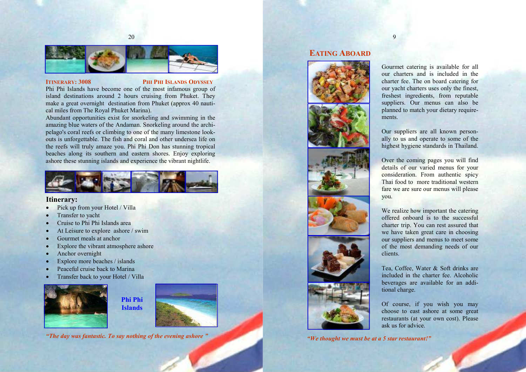

#### **ITINERARY: 3008 PHI PHI ISLANDS ODYSSEY**

 Phi Phi Islands have become one of the most infamous group of island destinations around 2 hours cruising from Phuket. They make a great overnight destination from Phuket (approx 40 nautical miles from The Royal Phuket Marina).

Abundant opportunities exist for snorkeling and swimming in the amazing blue waters of the Andaman. Snorkeling around the archipelago's coral reefs or climbing to one of the many limestone lookouts is unforgettable. The fish and coral and other undersea life on the reefs will truly amaze you. Phi Phi Don has stunning tropical beaches along its southern and eastern shores. Enjoy exploring ashore these stunning islands and experience the vibrant nightlife.



# Itinerary:

- Pick up from your Hotel / Villa
- Transfer to yacht
- Cruise to Phi Phi Islands area
- At Leisure to explore ashore / swim
- Gourmet meals at anchor
- Explore the vibrant atmosphere ashore
- Anchor overnight
- Explore more beaches / islands
- Peaceful cruise back to Marina
- Transfer back to your Hotel / Villa





"The day was fantastic. To say nothing of the evening ashore "

# EATING ABOARD



"We thought we must be at a 5 star restaurant!"

Gourmet catering is available for all our charters and is included in the charter fee. The on board catering for our yacht charters uses only the finest, freshest ingredients, from reputable suppliers. Our menus can also be planned to match your dietary requirements.

9

Our suppliers are all known personally to us and operate to some of the highest hygiene standards in Thailand.

Over the coming pages you will find details of our varied menus for your consideration. From authentic spicy Thai food to more traditional western fare we are sure our menus will please you.

We realize how important the catering offered onboard is to the successful charter trip. You can rest assured that we have taken great care in choosing our suppliers and menus to meet some of the most demanding needs of our clients.

Tea, Coffee, Water & Soft drinks are included in the charter fee. Alcoholic beverages are available for an additional charge.

Of course, if you wish you may choose to east ashore at some great restaurants (at your own cost). Please ask us for advice.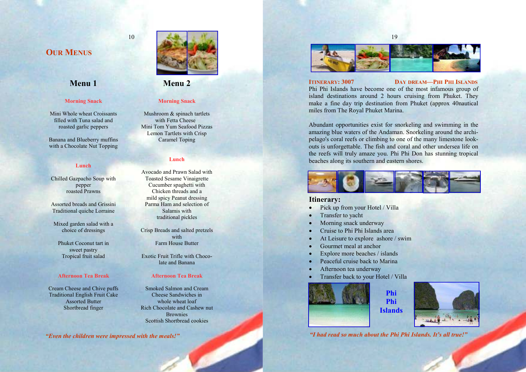# **OUR MENUS**

# Menu 1

#### Morning Snack

Mini Whole wheat Croissants filled with Tuna salad and roasted garlic peppers

Banana and Blueberry muffins with a Chocolate Nut Topping

#### Lunch

Chilled Gazpacho Soup with pepper roasted Prawns

Assorted breads and Grissini Traditional quiche Lorraine

Mixed garden salad with a choice of dressings

Phuket Coconut tart in sweet pastry Tropical fruit salad

#### Afternoon Tea Break

Cream Cheese and Chive puffs Traditional English Fruit Cake Assorted Butter Shortbread finger



# Menu 2

10

## Morning Snack

Mushroom & spinach tartlets with Fetta Cheese Mini Tom Yum Seafood Pizzas Lemon Tartlets with Crisp Caramel Toping

#### Lunch

Avocado and Prawn Salad with Toasted Sesame Vinaigrette Cucumber spaghetti with Chicken threads and a mild spicy Peanut dressing Parma Ham and selection of Salamis with traditional pickles

Crisp Breads and salted pretzels with Farm House Butter

Exotic Fruit Trifle with Chocolate and Banana

# Afternoon Tea Break

Smoked Salmon and Cream Cheese Sandwiches in whole wheat loaf Rich Chocolate and Cashew nut **Brownies** Scottish Shortbread cookies

"Even the children were impressed with the meals!"



# ITINERARY: 3007

#### DAY DREAM-PHI PHI ISLANDS

Phi Phi Islands have become one of the most infamous group of island destinations around 2 hours cruising from Phuket. They make a fine day trip destination from Phuket (approx 40nautical miles from The Royal Phuket Marina.

Abundant opportunities exist for snorkeling and swimming in the amazing blue waters of the Andaman. Snorkeling around the archipelago's coral reefs or climbing to one of the many limestone lookouts is unforgettable. The fish and coral and other undersea life on the reefs will truly amaze you. Phi Phi Don has stunning tropical beaches along its southern and eastern shores.



# Itinerary:

- Pick up from your Hotel / Villa
- Transfer to yacht
- Morning snack underway
- Cruise to Phi Phi Islands area
- At Leisure to explore ashore / swim
- Gourmet meal at anchor
- Explore more beaches / islands
- Peaceful cruise back to Marina
- Afternoon tea underway
- Transfer back to your Hotel / Villa





"I had read so much about the Phi Phi Islands. It's all true!"

Phi Phi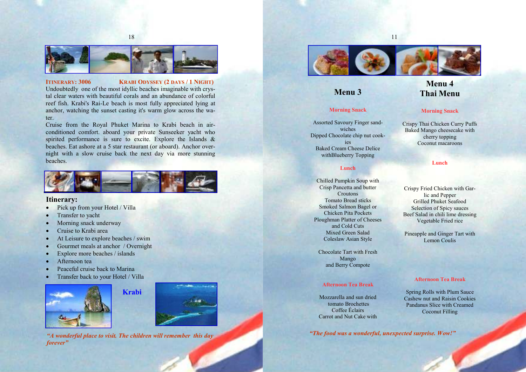

ITINERARY: 3006 KRABI ODYSSEY (2 DAYS / 1 NIGHT)

 Undoubtedly one of the most idyllic beaches imaginable with crystal clear waters with beautiful corals and an abundance of colorful reef fish. Krabi's Rai-Le beach is most fully appreciated lying at anchor, watching the sunset casting it's warm glow across the water.

 Cruise from the Royal Phuket Marina to Krabi beach in airconditioned comfort. aboard your private Sunseeker yacht who spirited performance is sure to excite. Explore the Islands  $\&$  beaches. Eat ashore at a 5 star restaurant (or aboard). Anchor overnight with a slow cruise back the next day via more stunning beaches.



# Itinerary:

- Pick up from your Hotel / Villa
- Transfer to yacht
- Morning snack underway
- Cruise to Krabi area
- At Leisure to explore beaches / swim
- Gourmet meals at anchor / Overnight
- Explore more beaches / islands
- Afternoon tea
- Peaceful cruise back to Marina
- Transfer back to your Hotel / Villa





"A wonderful place to visit. The children will remember this day forever"



11

# Menu 3

# Morning Snack

Assorted Savoury Finger sandwiches Dipped Chocolate chip nut cook $i$ es Baked Cream Cheese Delice withBlueberry Topping

## Lunch

Chilled Pumpkin Soup with Crisp Pancetta and butter Croutons Tomato Bread sticks Smoked Salmon Bagel or Chicken Pita Pockets Ploughman Platter of Cheeses and Cold Cuts Mixed Green Salad Coleslaw Asian Style

Chocolate Tart with Fresh Mango and Berry Compote

## Afternoon Tea Break

Mozzarella and sun dried tomato Brochettes Coffee Éclairs Carrot and Nut Cake with

"The food was a wonderful, unexpected surprise. Wow!"

# Menu 4 Thai Menu

## Morning Snack

Crispy Thai Chicken Curry Puffs Baked Mango cheesecake with cherry topping Coconut macaroons

#### Lunch

Crispy Fried Chicken with Garlic and Pepper Grilled Phuket Seafood Selection of Spicy sauces Beef Salad in chili lime dressing Vegetable Fried rice

Pineapple and Ginger Tart with Lemon Coulis

## Afternoon Tea Break

Spring Rolls with Plum Sauce Cashew nut and Raisin Cookies Pandanus Slice with Creamed Coconut Filling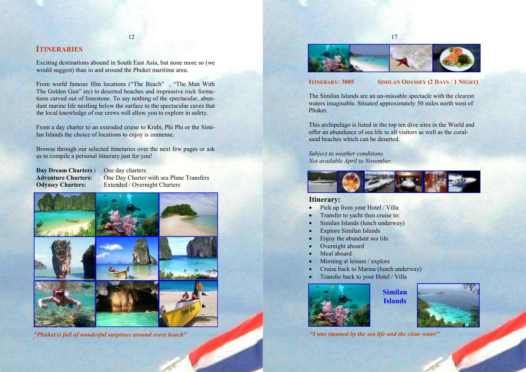# **ITINERARIES**

Exciting destinations abound in South East Asia, but none more so (we would suggest) than in and around the Phuket maritime area.

From world famous film locations ("The Beach" , "The Man With The Golden Gun" etc) to deserted beaches and impressive rock formations carved out of limestone. To say nothing of the spectacular, abundant marine life nestling below the surface to the spectacular caves that the local knowledge of our crews will allow you to explore in safety.

From a day charter to an extended cruise to Krabi, Phi Phi or the Similan Islands the choice of locations to enjoy is immense.

Browse through our selected itineraries over the next few pages or ask us to compile a personal itinerary just for you!

Day Dream Charters : One day charters

Adventure Charters: One Day Charter with sea Plane Transfers Odyssey Charters: Extended / Overnight Charters



"Phuket is full of wonderful surprises around every beach"



## ITINERARY: 3005 SIMILAN ODYSSEY (2 DAYS / 1 NIGHT)

The Similan Islands are an un-missable spectacle with the clearest waters imaginable. Situated approximately 50 miles north west of Phuket.

This archipelago is listed in the top ten dive sites in the World and offer an abundance of sea life to all visitors as well as the coralsand beaches which can be deserted.

Subject to weather conditions. Not available April to November.



# Itinerary:

- Pick up from your Hotel / Villa
- Transfer to yacht then cruise to:
- Similan Islands (lunch underway)
- Explore Similan Islands
- Enjoy the abundant sea life
- Overnight aboard
- Meal aboard
- Morning at leisure / explore
- Cruise back to Marina (lunch underway)
- Transfer back to your Hotel / Villa



Similan Islands



"I was stunned by the sea life and the clear water"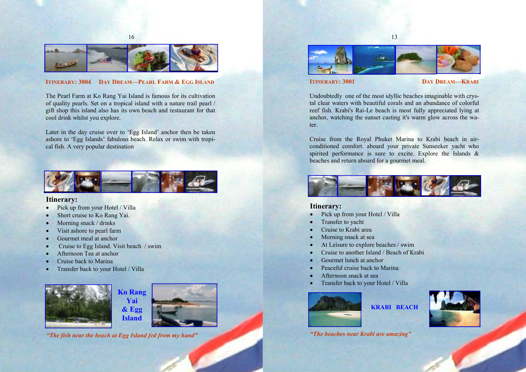

# ITINERARY: 3004 DAY DREAM—PEARL FARM & EGG ISLAND

The Pearl Farm at Ko Rang Yai Island is famous for its cultivation of quality pearls. Set on a tropical island with a nature trail pearl / gift shop this island also has its own beach and restaurant for that cool drink whilst you explore.

Later in the day cruise over to 'Egg Island' anchor then be taken ashore to 'Egg Islands' fabulous beach. Relax or swim with tropical fish. A very popular destination



# Itinerary:

- Pick up from your Hotel / Villa
- Short cruise to Ko Rang Yai.
- Morning snack / drinks
- Visit ashore to pearl farm
- Gourmet meal at anchor
- Cruise to Egg Island. Visit beach / swim
- Afternoon Tea at anchor
- Cruise back to Marina
- Transfer back to your Hotel / Villa







"The fish near the beach at Egg Island fed from my hand"



# **ITINERARY: 3001 DAY DREAM-KRABI**

Undoubtedly one of the most idyllic beaches imaginable with crystal clear waters with beautiful corals and an abundance of colorful reef fish. Krabi's Rai-Le beach is most fully appreciated lying at anchor, watching the sunset casting it's warm glow across the water.

Cruise from the Royal Phuket Marina to Krabi beach in airconditioned comfort. aboard your private Sunseeker yacht who spirited performance is sure to excite. Explore the Islands  $\&$ beaches and return aboard for a gourmet meal.



KRABI BEACH

# Itinerary:

- Pick up from your Hotel / Villa
- Transfer to yacht
- Cruise to Krabi area
- Morning snack at sea
- At Leisure to explore beaches / swim
- Cruise to another Island / Beach of Krabi
- Gourmet lunch at anchor
- Peaceful cruise back to Marina
- Afternoon snack at sea
- Transfer back to your Hotel / Villa





"The beaches near Krabi are amazing"